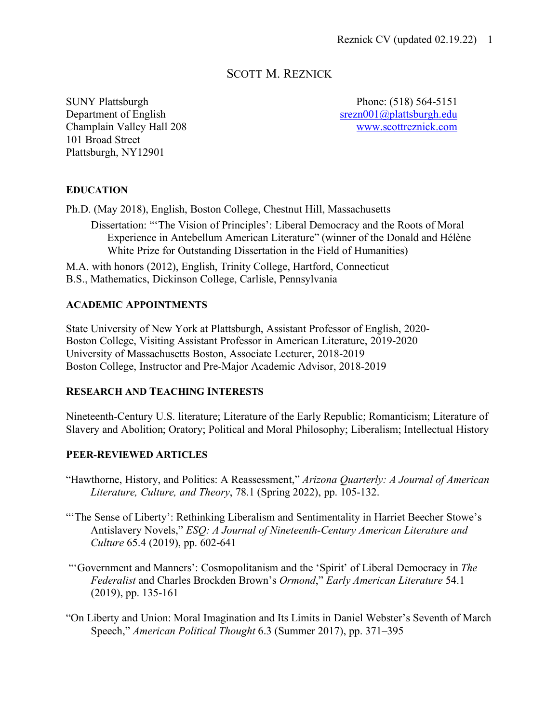# SCOTT M. REZNICK

SUNY Plattsburgh Phone: (518) 564-5151 Department of English srezn001@plattsburgh.edu Champlain Valley Hall 208 www.scottreznick.com 101 Broad Street Plattsburgh, NY12901

### **EDUCATION**

Ph.D. (May 2018), English, Boston College, Chestnut Hill, Massachusetts

Dissertation: "'The Vision of Principles': Liberal Democracy and the Roots of Moral Experience in Antebellum American Literature" (winner of the Donald and Hélène White Prize for Outstanding Dissertation in the Field of Humanities)

M.A. with honors (2012), English, Trinity College, Hartford, Connecticut B.S., Mathematics, Dickinson College, Carlisle, Pennsylvania

#### **ACADEMIC APPOINTMENTS**

State University of New York at Plattsburgh, Assistant Professor of English, 2020- Boston College, Visiting Assistant Professor in American Literature, 2019-2020 University of Massachusetts Boston, Associate Lecturer, 2018-2019 Boston College, Instructor and Pre-Major Academic Advisor, 2018-2019

## **RESEARCH AND TEACHING INTERESTS**

Nineteenth-Century U.S. literature; Literature of the Early Republic; Romanticism; Literature of Slavery and Abolition; Oratory; Political and Moral Philosophy; Liberalism; Intellectual History

#### **PEER-REVIEWED ARTICLES**

- "Hawthorne, History, and Politics: A Reassessment," *Arizona Quarterly: A Journal of American Literature, Culture, and Theory*, 78.1 (Spring 2022), pp. 105-132.
- "The Sense of Liberty': Rethinking Liberalism and Sentimentality in Harriet Beecher Stowe's Antislavery Novels," *ESQ: A Journal of Nineteenth-Century American Literature and Culture* 65.4 (2019), pp. 602-641
- "'Government and Manners': Cosmopolitanism and the 'Spirit' of Liberal Democracy in *The Federalist* and Charles Brockden Brown's *Ormond*," *Early American Literature* 54.1 (2019), pp. 135-161
- "On Liberty and Union: Moral Imagination and Its Limits in Daniel Webster's Seventh of March Speech," *American Political Thought* 6.3 (Summer 2017), pp. 371–395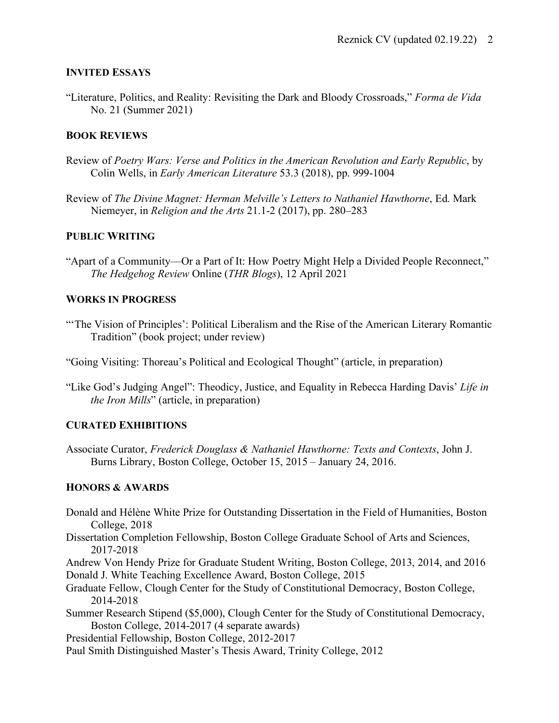### **INVITED ESSAYS**

"Literature, Politics, and Reality: Revisiting the Dark and Bloody Crossroads," *Forma de Vida* No. 21 (Summer 2021)

## **BOOK REVIEWS**

- Review of *Poetry Wars: Verse and Politics in the American Revolution and Early Republic*, by Colin Wells, in *Early American Literature* 53.3 (2018), pp. 999-1004
- Review of *The Divine Magnet: Herman Melville's Letters to Nathaniel Hawthorne*, Ed. Mark Niemeyer, in *Religion and the Arts* 21.1-2 (2017), pp. 280–283

## **PUBLIC WRITING**

"Apart of a Community—Or a Part of It: How Poetry Might Help a Divided People Reconnect," *The Hedgehog Review* Online (*THR Blogs*), 12 April 2021

#### **WORKS IN PROGRESS**

"The Vision of Principles': Political Liberalism and the Rise of the American Literary Romantic Tradition" (book project; under review)

"Going Visiting: Thoreau's Political and Ecological Thought" (article, in preparation)

"Like God's Judging Angel": Theodicy, Justice, and Equality in Rebecca Harding Davis' *Life in the Iron Mills*" (article, in preparation)

## **CURATED EXHIBITIONS**

Associate Curator, *Frederick Douglass & Nathaniel Hawthorne: Texts and Contexts*, John J. Burns Library, Boston College, October 15, 2015 – January 24, 2016.

#### **HONORS & AWARDS**

- Donald and Hélène White Prize for Outstanding Dissertation in the Field of Humanities, Boston College, 2018
- Dissertation Completion Fellowship, Boston College Graduate School of Arts and Sciences, 2017-2018
- Andrew Von Hendy Prize for Graduate Student Writing, Boston College, 2013, 2014, and 2016 Donald J. White Teaching Excellence Award, Boston College, 2015
- Graduate Fellow, Clough Center for the Study of Constitutional Democracy, Boston College, 2014-2018
- Summer Research Stipend (\$5,000), Clough Center for the Study of Constitutional Democracy, Boston College, 2014-2017 (4 separate awards)
- Presidential Fellowship, Boston College, 2012-2017
- Paul Smith Distinguished Master's Thesis Award, Trinity College, 2012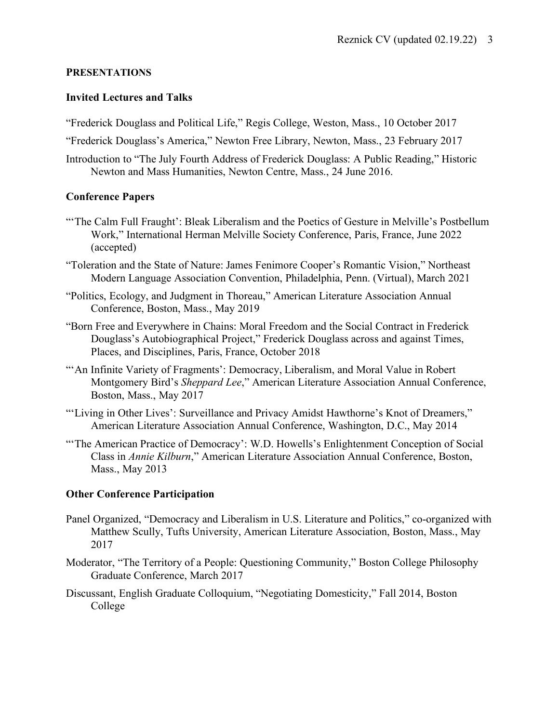### **PRESENTATIONS**

### **Invited Lectures and Talks**

"Frederick Douglass and Political Life," Regis College, Weston, Mass., 10 October 2017

"Frederick Douglass's America," Newton Free Library, Newton, Mass., 23 February 2017

Introduction to "The July Fourth Address of Frederick Douglass: A Public Reading," Historic Newton and Mass Humanities, Newton Centre, Mass., 24 June 2016.

## **Conference Papers**

- "'The Calm Full Fraught': Bleak Liberalism and the Poetics of Gesture in Melville's Postbellum Work," International Herman Melville Society Conference, Paris, France, June 2022 (accepted)
- "Toleration and the State of Nature: James Fenimore Cooper's Romantic Vision," Northeast Modern Language Association Convention, Philadelphia, Penn. (Virtual), March 2021
- "Politics, Ecology, and Judgment in Thoreau," American Literature Association Annual Conference, Boston, Mass., May 2019
- "Born Free and Everywhere in Chains: Moral Freedom and the Social Contract in Frederick Douglass's Autobiographical Project," Frederick Douglass across and against Times, Places, and Disciplines, Paris, France, October 2018
- "'An Infinite Variety of Fragments': Democracy, Liberalism, and Moral Value in Robert Montgomery Bird's *Sheppard Lee*," American Literature Association Annual Conference, Boston, Mass., May 2017
- "'Living in Other Lives': Surveillance and Privacy Amidst Hawthorne's Knot of Dreamers," American Literature Association Annual Conference, Washington, D.C., May 2014
- "'The American Practice of Democracy': W.D. Howells's Enlightenment Conception of Social Class in *Annie Kilburn*," American Literature Association Annual Conference, Boston, Mass., May 2013

## **Other Conference Participation**

- Panel Organized, "Democracy and Liberalism in U.S. Literature and Politics," co-organized with Matthew Scully, Tufts University, American Literature Association, Boston, Mass., May 2017
- Moderator, "The Territory of a People: Questioning Community," Boston College Philosophy Graduate Conference, March 2017
- Discussant, English Graduate Colloquium, "Negotiating Domesticity," Fall 2014, Boston College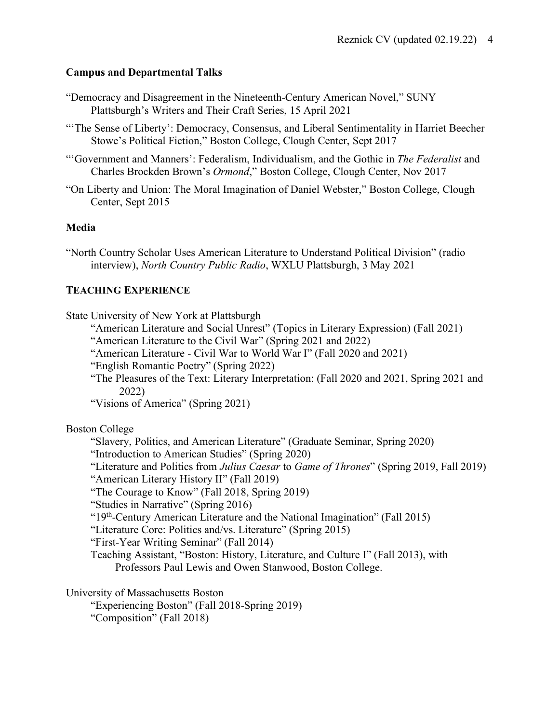### **Campus and Departmental Talks**

- "Democracy and Disagreement in the Nineteenth-Century American Novel," SUNY Plattsburgh's Writers and Their Craft Series, 15 April 2021
- "The Sense of Liberty': Democracy, Consensus, and Liberal Sentimentality in Harriet Beecher Stowe's Political Fiction," Boston College, Clough Center, Sept 2017
- "'Government and Manners': Federalism, Individualism, and the Gothic in *The Federalist* and Charles Brockden Brown's *Ormond*," Boston College, Clough Center, Nov 2017
- "On Liberty and Union: The Moral Imagination of Daniel Webster," Boston College, Clough Center, Sept 2015

#### **Media**

"North Country Scholar Uses American Literature to Understand Political Division" (radio interview), *North Country Public Radio*, WXLU Plattsburgh, 3 May 2021

### **TEACHING EXPERIENCE**

State University of New York at Plattsburgh

- "American Literature and Social Unrest" (Topics in Literary Expression) (Fall 2021)
- "American Literature to the Civil War" (Spring 2021 and 2022)
- "American Literature Civil War to World War I" (Fall 2020 and 2021)

"English Romantic Poetry" (Spring 2022)

"The Pleasures of the Text: Literary Interpretation: (Fall 2020 and 2021, Spring 2021 and 2022)

"Visions of America" (Spring 2021)

#### Boston College

"Slavery, Politics, and American Literature" (Graduate Seminar, Spring 2020)

"Introduction to American Studies" (Spring 2020)

"Literature and Politics from *Julius Caesar* to *Game of Thrones*" (Spring 2019, Fall 2019)

"American Literary History II" (Fall 2019)

"The Courage to Know" (Fall 2018, Spring 2019)

"Studies in Narrative" (Spring 2016)

"19th-Century American Literature and the National Imagination" (Fall 2015)

"Literature Core: Politics and/vs. Literature" (Spring 2015)

"First-Year Writing Seminar" (Fall 2014)

Teaching Assistant, "Boston: History, Literature, and Culture I" (Fall 2013), with Professors Paul Lewis and Owen Stanwood, Boston College.

University of Massachusetts Boston

"Experiencing Boston" (Fall 2018-Spring 2019) "Composition" (Fall 2018)